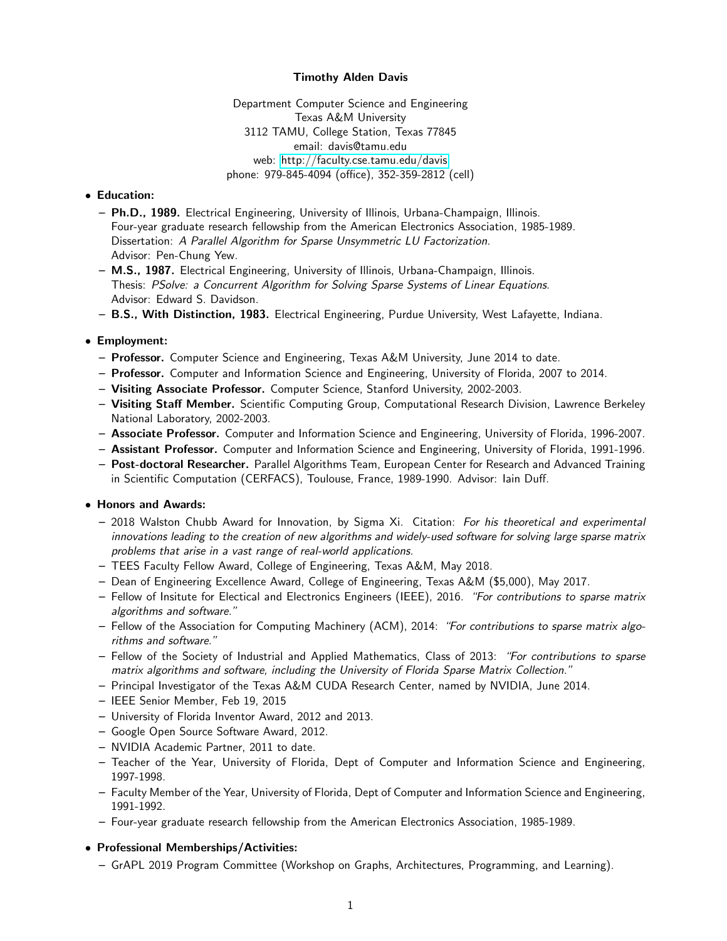### Timothy Alden Davis

Department Computer Science and Engineering Texas A&M University 3112 TAMU, College Station, Texas 77845 email: davis@tamu.edu web:<http://faculty.cse.tamu.edu/davis> phone: 979-845-4094 (office), 352-359-2812 (cell)

# • Education:

- Ph.D., 1989. Electrical Engineering, University of Illinois, Urbana-Champaign, Illinois. Four-year graduate research fellowship from the American Electronics Association, 1985-1989. Dissertation: A Parallel Algorithm for Sparse Unsymmetric LU Factorization. Advisor: Pen-Chung Yew.
- M.S., 1987. Electrical Engineering, University of Illinois, Urbana-Champaign, Illinois. Thesis: PSolve: a Concurrent Algorithm for Solving Sparse Systems of Linear Equations. Advisor: Edward S. Davidson.
- B.S., With Distinction, 1983. Electrical Engineering, Purdue University, West Lafayette, Indiana.

# • Employment:

- Professor. Computer Science and Engineering, Texas A&M University, June 2014 to date.
- Professor. Computer and Information Science and Engineering, University of Florida, 2007 to 2014.
- Visiting Associate Professor. Computer Science, Stanford University, 2002-2003.
- Visiting Staff Member. Scientific Computing Group, Computational Research Division, Lawrence Berkeley National Laboratory, 2002-2003.
- Associate Professor. Computer and Information Science and Engineering, University of Florida, 1996-2007.
- Assistant Professor. Computer and Information Science and Engineering, University of Florida, 1991-1996.
- Post-doctoral Researcher. Parallel Algorithms Team, European Center for Research and Advanced Training in Scientific Computation (CERFACS), Toulouse, France, 1989-1990. Advisor: Iain Duff.

# • Honors and Awards:

- 2018 Walston Chubb Award for Innovation, by Sigma Xi. Citation: For his theoretical and experimental innovations leading to the creation of new algorithms and widely-used software for solving large sparse matrix problems that arise in a vast range of real-world applications.
- TEES Faculty Fellow Award, College of Engineering, Texas A&M, May 2018.
- Dean of Engineering Excellence Award, College of Engineering, Texas A&M (\$5,000), May 2017.
- Fellow of Insitute for Electical and Electronics Engineers (IEEE), 2016. "For contributions to sparse matrix algorithms and software."
- Fellow of the Association for Computing Machinery (ACM), 2014: "For contributions to sparse matrix algorithms and software."
- Fellow of the Society of Industrial and Applied Mathematics, Class of 2013: "For contributions to sparse matrix algorithms and software, including the University of Florida Sparse Matrix Collection."
- Principal Investigator of the Texas A&M CUDA Research Center, named by NVIDIA, June 2014.
- IEEE Senior Member, Feb 19, 2015
- University of Florida Inventor Award, 2012 and 2013.
- Google Open Source Software Award, 2012.
- NVIDIA Academic Partner, 2011 to date.
- Teacher of the Year, University of Florida, Dept of Computer and Information Science and Engineering, 1997-1998.
- Faculty Member of the Year, University of Florida, Dept of Computer and Information Science and Engineering, 1991-1992.
- Four-year graduate research fellowship from the American Electronics Association, 1985-1989.

# • Professional Memberships/Activities:

– GrAPL 2019 Program Committee (Workshop on Graphs, Architectures, Programming, and Learning).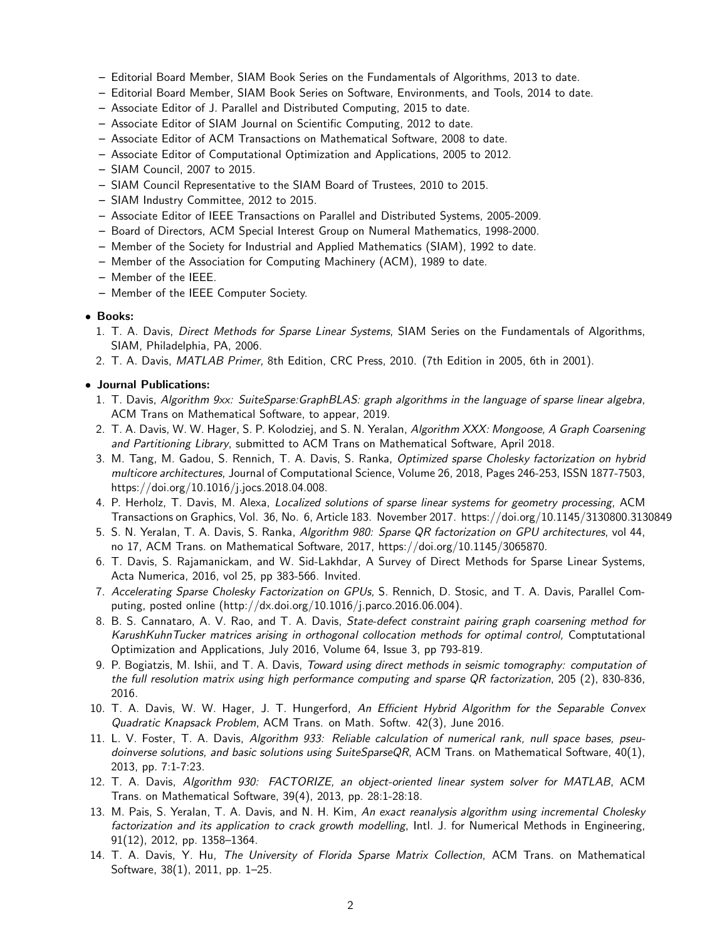- Editorial Board Member, SIAM Book Series on the Fundamentals of Algorithms, 2013 to date.
- Editorial Board Member, SIAM Book Series on Software, Environments, and Tools, 2014 to date.
- Associate Editor of J. Parallel and Distributed Computing, 2015 to date.
- Associate Editor of SIAM Journal on Scientific Computing, 2012 to date.
- Associate Editor of ACM Transactions on Mathematical Software, 2008 to date.
- Associate Editor of Computational Optimization and Applications, 2005 to 2012.
- SIAM Council, 2007 to 2015.
- SIAM Council Representative to the SIAM Board of Trustees, 2010 to 2015.
- SIAM Industry Committee, 2012 to 2015.
- Associate Editor of IEEE Transactions on Parallel and Distributed Systems, 2005-2009.
- Board of Directors, ACM Special Interest Group on Numeral Mathematics, 1998-2000.
- Member of the Society for Industrial and Applied Mathematics (SIAM), 1992 to date.
- Member of the Association for Computing Machinery (ACM), 1989 to date.
- Member of the IEEE.
- Member of the IEEE Computer Society.

#### • Books:

- 1. T. A. Davis, Direct Methods for Sparse Linear Systems, SIAM Series on the Fundamentals of Algorithms, SIAM, Philadelphia, PA, 2006.
- 2. T. A. Davis, MATLAB Primer, 8th Edition, CRC Press, 2010. (7th Edition in 2005, 6th in 2001).

### • Journal Publications:

- 1. T. Davis, Algorithm 9xx: SuiteSparse:GraphBLAS: graph algorithms in the language of sparse linear algebra, ACM Trans on Mathematical Software, to appear, 2019.
- 2. T. A. Davis, W. W. Hager, S. P. Kolodziej, and S. N. Yeralan, Algorithm XXX: Mongoose, A Graph Coarsening and Partitioning Library, submitted to ACM Trans on Mathematical Software, April 2018.
- 3. M. Tang, M. Gadou, S. Rennich, T. A. Davis, S. Ranka, Optimized sparse Cholesky factorization on hybrid multicore architectures, Journal of Computational Science, Volume 26, 2018, Pages 246-253, ISSN 1877-7503, https://doi.org/10.1016/j.jocs.2018.04.008.
- 4. P. Herholz, T. Davis, M. Alexa, Localized solutions of sparse linear systems for geometry processing, ACM Transactions on Graphics, Vol. 36, No. 6, Article 183. November 2017. https://doi.org/10.1145/3130800.3130849
- 5. S. N. Yeralan, T. A. Davis, S. Ranka, Algorithm 980: Sparse QR factorization on GPU architectures, vol 44, no 17, ACM Trans. on Mathematical Software, 2017, https://doi.org/10.1145/3065870.
- 6. T. Davis, S. Rajamanickam, and W. Sid-Lakhdar, A Survey of Direct Methods for Sparse Linear Systems, Acta Numerica, 2016, vol 25, pp 383-566. Invited.
- 7. Accelerating Sparse Cholesky Factorization on GPUs, S. Rennich, D. Stosic, and T. A. Davis, Parallel Computing, posted online (http://dx.doi.org/10.1016/j.parco.2016.06.004).
- 8. B. S. Cannataro, A. V. Rao, and T. A. Davis, State-defect constraint pairing graph coarsening method for KarushKuhnTucker matrices arising in orthogonal collocation methods for optimal control, Comptutational Optimization and Applications, July 2016, Volume 64, Issue 3, pp 793-819.
- 9. P. Bogiatzis, M. Ishii, and T. A. Davis, Toward using direct methods in seismic tomography: computation of the full resolution matrix using high performance computing and sparse QR factorization, 205 (2), 830-836, 2016.
- 10. T. A. Davis, W. W. Hager, J. T. Hungerford, An Efficient Hybrid Algorithm for the Separable Convex Quadratic Knapsack Problem, ACM Trans. on Math. Softw. 42(3), June 2016.
- 11. L. V. Foster, T. A. Davis, Algorithm 933: Reliable calculation of numerical rank, null space bases, pseudoinverse solutions, and basic solutions using SuiteSparseQR, ACM Trans. on Mathematical Software,  $40(1)$ , 2013, pp. 7:1-7:23.
- 12. T. A. Davis, Algorithm 930: FACTORIZE, an object-oriented linear system solver for MATLAB, ACM Trans. on Mathematical Software, 39(4), 2013, pp. 28:1-28:18.
- 13. M. Pais, S. Yeralan, T. A. Davis, and N. H. Kim, An exact reanalysis algorithm using incremental Cholesky factorization and its application to crack growth modelling, Intl. J. for Numerical Methods in Engineering, 91(12), 2012, pp. 1358–1364.
- 14. T. A. Davis, Y. Hu, The University of Florida Sparse Matrix Collection, ACM Trans. on Mathematical Software, 38(1), 2011, pp. 1–25.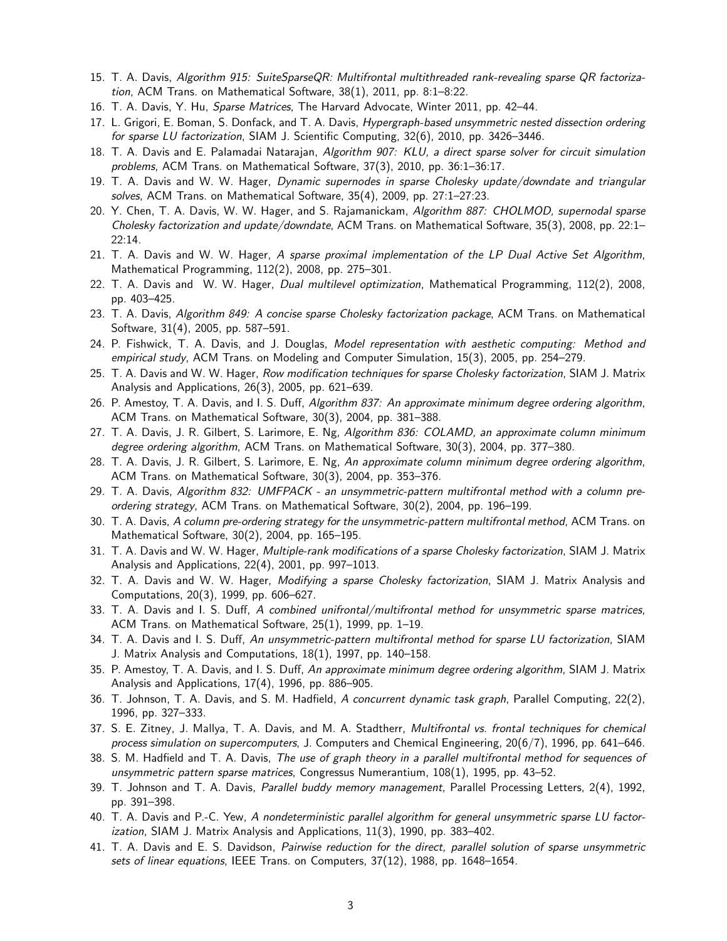- 15. T. A. Davis, Algorithm 915: SuiteSparseQR: Multifrontal multithreaded rank-revealing sparse QR factorization, ACM Trans. on Mathematical Software, 38(1), 2011, pp. 8:1–8:22.
- 16. T. A. Davis, Y. Hu, Sparse Matrices, The Harvard Advocate, Winter 2011, pp. 42–44.
- 17. L. Grigori, E. Boman, S. Donfack, and T. A. Davis, Hypergraph-based unsymmetric nested dissection ordering for sparse LU factorization, SIAM J. Scientific Computing, 32(6), 2010, pp. 3426–3446.
- 18. T. A. Davis and E. Palamadai Natarajan, Algorithm 907: KLU, a direct sparse solver for circuit simulation problems, ACM Trans. on Mathematical Software, 37(3), 2010, pp. 36:1–36:17.
- 19. T. A. Davis and W. W. Hager, Dynamic supernodes in sparse Cholesky update/downdate and triangular solves, ACM Trans. on Mathematical Software, 35(4), 2009, pp. 27:1–27:23.
- 20. Y. Chen, T. A. Davis, W. W. Hager, and S. Rajamanickam, Algorithm 887: CHOLMOD, supernodal sparse Cholesky factorization and update/downdate, ACM Trans. on Mathematical Software, 35(3), 2008, pp. 22:1– 22:14.
- 21. T. A. Davis and W. W. Hager, A sparse proximal implementation of the LP Dual Active Set Algorithm, Mathematical Programming, 112(2), 2008, pp. 275–301.
- 22. T. A. Davis and W. W. Hager, Dual multilevel optimization, Mathematical Programming, 112(2), 2008, pp. 403–425.
- 23. T. A. Davis, Algorithm 849: A concise sparse Cholesky factorization package, ACM Trans. on Mathematical Software, 31(4), 2005, pp. 587–591.
- 24. P. Fishwick, T. A. Davis, and J. Douglas, Model representation with aesthetic computing: Method and empirical study, ACM Trans. on Modeling and Computer Simulation, 15(3), 2005, pp. 254–279.
- 25. T. A. Davis and W. W. Hager, Row modification techniques for sparse Cholesky factorization, SIAM J. Matrix Analysis and Applications, 26(3), 2005, pp. 621–639.
- 26. P. Amestoy, T. A. Davis, and I. S. Duff, Algorithm 837: An approximate minimum degree ordering algorithm, ACM Trans. on Mathematical Software, 30(3), 2004, pp. 381–388.
- 27. T. A. Davis, J. R. Gilbert, S. Larimore, E. Ng, Algorithm 836: COLAMD, an approximate column minimum degree ordering algorithm, ACM Trans. on Mathematical Software, 30(3), 2004, pp. 377–380.
- 28. T. A. Davis, J. R. Gilbert, S. Larimore, E. Ng, An approximate column minimum degree ordering algorithm, ACM Trans. on Mathematical Software, 30(3), 2004, pp. 353–376.
- 29. T. A. Davis, Algorithm 832: UMFPACK an unsymmetric-pattern multifrontal method with a column preordering strategy, ACM Trans. on Mathematical Software, 30(2), 2004, pp. 196–199.
- 30. T. A. Davis, A column pre-ordering strategy for the unsymmetric-pattern multifrontal method, ACM Trans. on Mathematical Software, 30(2), 2004, pp. 165–195.
- 31. T. A. Davis and W. W. Hager, Multiple-rank modifications of a sparse Cholesky factorization, SIAM J. Matrix Analysis and Applications, 22(4), 2001, pp. 997–1013.
- 32. T. A. Davis and W. W. Hager, Modifying a sparse Cholesky factorization, SIAM J. Matrix Analysis and Computations, 20(3), 1999, pp. 606–627.
- 33. T. A. Davis and I. S. Duff, A combined unifrontal/multifrontal method for unsymmetric sparse matrices, ACM Trans. on Mathematical Software, 25(1), 1999, pp. 1–19.
- 34. T. A. Davis and I. S. Duff, An unsymmetric-pattern multifrontal method for sparse LU factorization, SIAM J. Matrix Analysis and Computations, 18(1), 1997, pp. 140–158.
- 35. P. Amestoy, T. A. Davis, and I. S. Duff, An approximate minimum degree ordering algorithm, SIAM J. Matrix Analysis and Applications, 17(4), 1996, pp. 886–905.
- 36. T. Johnson, T. A. Davis, and S. M. Hadfield, A concurrent dynamic task graph, Parallel Computing, 22(2), 1996, pp. 327–333.
- 37. S. E. Zitney, J. Mallya, T. A. Davis, and M. A. Stadtherr, Multifrontal vs. frontal techniques for chemical process simulation on supercomputers, J. Computers and Chemical Engineering, 20(6/7), 1996, pp. 641–646.
- 38. S. M. Hadfield and T. A. Davis, The use of graph theory in a parallel multifrontal method for sequences of unsymmetric pattern sparse matrices, Congressus Numerantium, 108(1), 1995, pp. 43–52.
- 39. T. Johnson and T. A. Davis, Parallel buddy memory management, Parallel Processing Letters, 2(4), 1992, pp. 391–398.
- 40. T. A. Davis and P.-C. Yew, A nondeterministic parallel algorithm for general unsymmetric sparse LU factorization, SIAM J. Matrix Analysis and Applications, 11(3), 1990, pp. 383–402.
- 41. T. A. Davis and E. S. Davidson, Pairwise reduction for the direct, parallel solution of sparse unsymmetric sets of linear equations, IEEE Trans. on Computers, 37(12), 1988, pp. 1648-1654.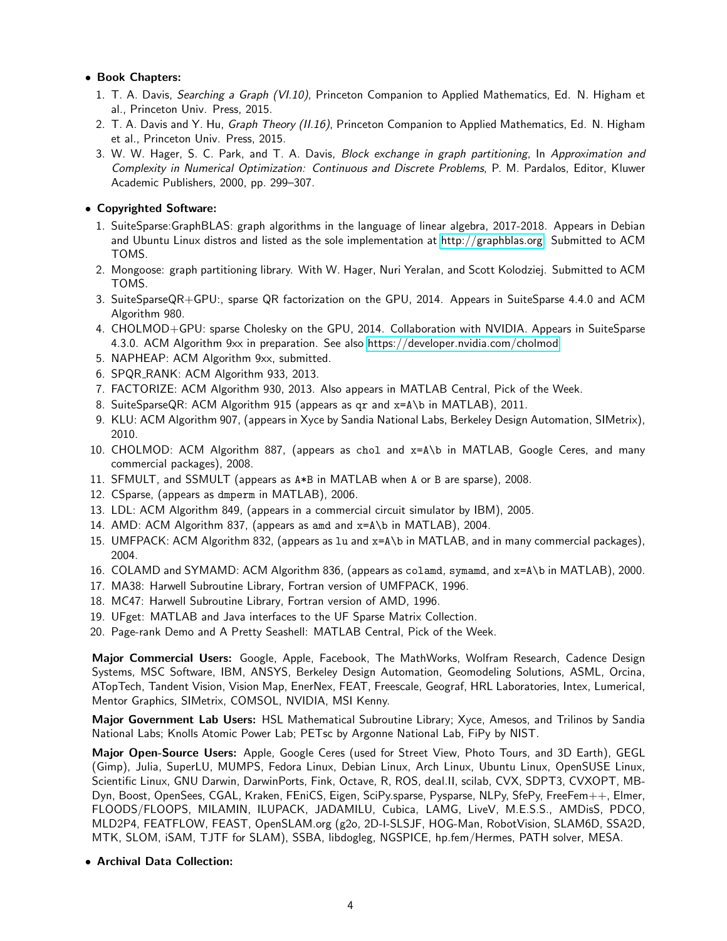# • Book Chapters:

- 1. T. A. Davis, Searching a Graph (VI.10), Princeton Companion to Applied Mathematics, Ed. N. Higham et al., Princeton Univ. Press, 2015.
- 2. T. A. Davis and Y. Hu, Graph Theory (II.16), Princeton Companion to Applied Mathematics, Ed. N. Higham et al., Princeton Univ. Press, 2015.
- 3. W. W. Hager, S. C. Park, and T. A. Davis, Block exchange in graph partitioning, In Approximation and Complexity in Numerical Optimization: Continuous and Discrete Problems, P. M. Pardalos, Editor, Kluwer Academic Publishers, 2000, pp. 299–307.

• Copyrighted Software:

- 1. SuiteSparse:GraphBLAS: graph algorithms in the language of linear algebra, 2017-2018. Appears in Debian and Ubuntu Linux distros and listed as the sole implementation at [http://graphblas.org.](http://graphblas.org) Submitted to ACM TOMS.
- 2. Mongoose: graph partitioning library. With W. Hager, Nuri Yeralan, and Scott Kolodziej. Submitted to ACM TOMS.
- 3. SuiteSparseQR+GPU:, sparse QR factorization on the GPU, 2014. Appears in SuiteSparse 4.4.0 and ACM Algorithm 980.
- 4. CHOLMOD+GPU: sparse Cholesky on the GPU, 2014. Collaboration with NVIDIA. Appears in SuiteSparse 4.3.0. ACM Algorithm 9xx in preparation. See also<https://developer.nvidia.com/cholmod>
- 5. NAPHEAP: ACM Algorithm 9xx, submitted.
- 6. SPQR RANK: ACM Algorithm 933, 2013.
- 7. FACTORIZE: ACM Algorithm 930, 2013. Also appears in MATLAB Central, Pick of the Week.
- 8. SuiteSparseQR: ACM Algorithm 915 (appears as qr and x=A\b in MATLAB), 2011.
- 9. KLU: ACM Algorithm 907, (appears in Xyce by Sandia National Labs, Berkeley Design Automation, SIMetrix), 2010.
- 10. CHOLMOD: ACM Algorithm 887, (appears as chol and x=A\b in MATLAB, Google Ceres, and many commercial packages), 2008.
- 11. SFMULT, and SSMULT (appears as A\*B in MATLAB when A or B are sparse), 2008.
- 12. CSparse, (appears as dmperm in MATLAB), 2006.
- 13. LDL: ACM Algorithm 849, (appears in a commercial circuit simulator by IBM), 2005.
- 14. AMD: ACM Algorithm 837, (appears as amd and x=A\b in MATLAB), 2004.
- 15. UMFPACK: ACM Algorithm 832, (appears as lu and x=A\b in MATLAB, and in many commercial packages), 2004.
- 16. COLAMD and SYMAMD: ACM Algorithm 836, (appears as colamd, symamd, and x=A\b in MATLAB), 2000.
- 17. MA38: Harwell Subroutine Library, Fortran version of UMFPACK, 1996.
- 18. MC47: Harwell Subroutine Library, Fortran version of AMD, 1996.
- 19. UFget: MATLAB and Java interfaces to the UF Sparse Matrix Collection.
- 20. Page-rank Demo and A Pretty Seashell: MATLAB Central, Pick of the Week.

Major Commercial Users: Google, Apple, Facebook, The MathWorks, Wolfram Research, Cadence Design Systems, MSC Software, IBM, ANSYS, Berkeley Design Automation, Geomodeling Solutions, ASML, Orcina, ATopTech, Tandent Vision, Vision Map, EnerNex, FEAT, Freescale, Geograf, HRL Laboratories, Intex, Lumerical, Mentor Graphics, SIMetrix, COMSOL, NVIDIA, MSI Kenny.

Major Government Lab Users: HSL Mathematical Subroutine Library; Xyce, Amesos, and Trilinos by Sandia National Labs; Knolls Atomic Power Lab; PETsc by Argonne National Lab, FiPy by NIST.

Major Open-Source Users: Apple, Google Ceres (used for Street View, Photo Tours, and 3D Earth), GEGL (Gimp), Julia, SuperLU, MUMPS, Fedora Linux, Debian Linux, Arch Linux, Ubuntu Linux, OpenSUSE Linux, Scientific Linux, GNU Darwin, DarwinPorts, Fink, Octave, R, ROS, deal.II, scilab, CVX, SDPT3, CVXOPT, MB-Dyn, Boost, OpenSees, CGAL, Kraken, FEniCS, Eigen, SciPy.sparse, Pysparse, NLPy, SfePy, FreeFem++, Elmer, FLOODS/FLOOPS, MILAMIN, ILUPACK, JADAMILU, Cubica, LAMG, LiveV, M.E.S.S., AMDisS, PDCO, MLD2P4, FEATFLOW, FEAST, OpenSLAM.org (g2o, 2D-I-SLSJF, HOG-Man, RobotVision, SLAM6D, SSA2D, MTK, SLOM, iSAM, TJTF for SLAM), SSBA, libdogleg, NGSPICE, hp.fem/Hermes, PATH solver, MESA.

• Archival Data Collection: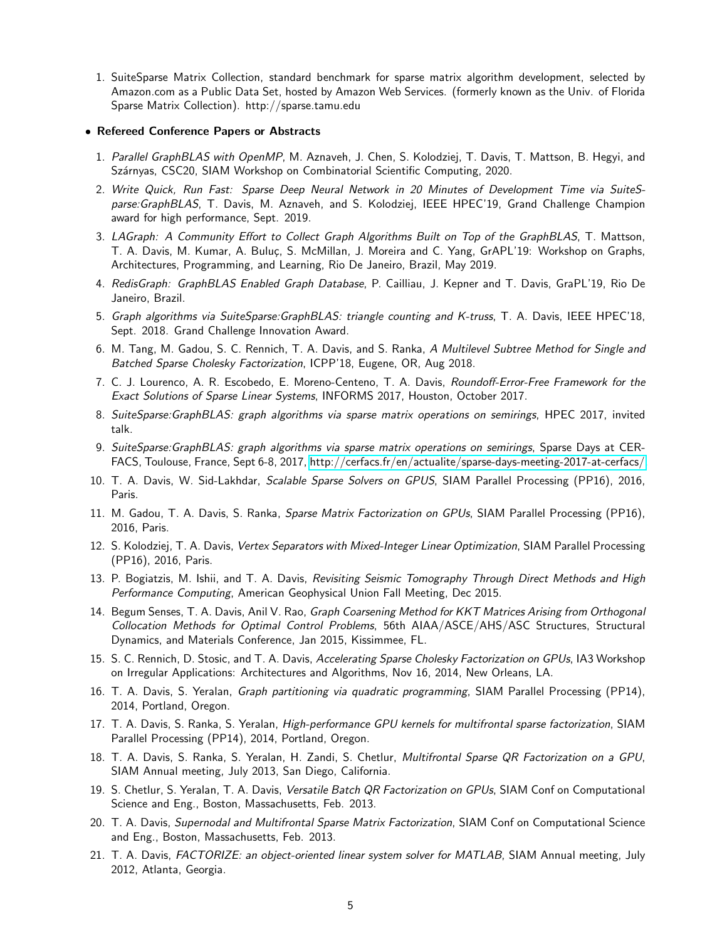1. SuiteSparse Matrix Collection, standard benchmark for sparse matrix algorithm development, selected by Amazon.com as a Public Data Set, hosted by Amazon Web Services. (formerly known as the Univ. of Florida Sparse Matrix Collection). http://sparse.tamu.edu

#### • Refereed Conference Papers or Abstracts

- 1. Parallel GraphBLAS with OpenMP, M. Aznaveh, J. Chen, S. Kolodziej, T. Davis, T. Mattson, B. Hegyi, and Szárnyas, CSC20, SIAM Workshop on Combinatorial Scientific Computing, 2020.
- 2. Write Quick, Run Fast: Sparse Deep Neural Network in 20 Minutes of Development Time via SuiteSparse:GraphBLAS, T. Davis, M. Aznaveh, and S. Kolodziej, IEEE HPEC'19, Grand Challenge Champion award for high performance, Sept. 2019.
- 3. LAGraph: A Community Effort to Collect Graph Algorithms Built on Top of the GraphBLAS, T. Mattson, T. A. Davis, M. Kumar, A. Buluç, S. McMillan, J. Moreira and C. Yang, GrAPL'19: Workshop on Graphs, Architectures, Programming, and Learning, Rio De Janeiro, Brazil, May 2019.
- 4. RedisGraph: GraphBLAS Enabled Graph Database, P. Cailliau, J. Kepner and T. Davis, GraPL'19, Rio De Janeiro, Brazil.
- 5. Graph algorithms via SuiteSparse:GraphBLAS: triangle counting and K-truss, T. A. Davis, IEEE HPEC'18, Sept. 2018. Grand Challenge Innovation Award.
- 6. M. Tang, M. Gadou, S. C. Rennich, T. A. Davis, and S. Ranka, A Multilevel Subtree Method for Single and Batched Sparse Cholesky Factorization, ICPP'18, Eugene, OR, Aug 2018.
- 7. C. J. Lourenco, A. R. Escobedo, E. Moreno-Centeno, T. A. Davis, Roundoff-Error-Free Framework for the Exact Solutions of Sparse Linear Systems, INFORMS 2017, Houston, October 2017.
- 8. SuiteSparse:GraphBLAS: graph algorithms via sparse matrix operations on semirings, HPEC 2017, invited talk.
- 9. SuiteSparse:GraphBLAS: graph algorithms via sparse matrix operations on semirings, Sparse Days at CER-FACS, Toulouse, France, Sept 6-8, 2017, [http://cerfacs.fr/en/actualite/sparse-days-meeting-2017-at-cerfacs/.](http://cerfacs.fr/en/actualite/sparse-days-meeting-2017-at-cerfacs/)
- 10. T. A. Davis, W. Sid-Lakhdar, Scalable Sparse Solvers on GPUS, SIAM Parallel Processing (PP16), 2016, Paris.
- 11. M. Gadou, T. A. Davis, S. Ranka, Sparse Matrix Factorization on GPUs, SIAM Parallel Processing (PP16), 2016, Paris.
- 12. S. Kolodziej, T. A. Davis, Vertex Separators with Mixed-Integer Linear Optimization, SIAM Parallel Processing (PP16), 2016, Paris.
- 13. P. Bogiatzis, M. Ishii, and T. A. Davis, Revisiting Seismic Tomography Through Direct Methods and High Performance Computing, American Geophysical Union Fall Meeting, Dec 2015.
- 14. Begum Senses, T. A. Davis, Anil V. Rao, Graph Coarsening Method for KKT Matrices Arising from Orthogonal Collocation Methods for Optimal Control Problems, 56th AIAA/ASCE/AHS/ASC Structures, Structural Dynamics, and Materials Conference, Jan 2015, Kissimmee, FL.
- 15. S. C. Rennich, D. Stosic, and T. A. Davis, Accelerating Sparse Cholesky Factorization on GPUs, IA3 Workshop on Irregular Applications: Architectures and Algorithms, Nov 16, 2014, New Orleans, LA.
- 16. T. A. Davis, S. Yeralan, Graph partitioning via quadratic programming, SIAM Parallel Processing (PP14), 2014, Portland, Oregon.
- 17. T. A. Davis, S. Ranka, S. Yeralan, High-performance GPU kernels for multifrontal sparse factorization, SIAM Parallel Processing (PP14), 2014, Portland, Oregon.
- 18. T. A. Davis, S. Ranka, S. Yeralan, H. Zandi, S. Chetlur, Multifrontal Sparse QR Factorization on a GPU, SIAM Annual meeting, July 2013, San Diego, California.
- 19. S. Chetlur, S. Yeralan, T. A. Davis, Versatile Batch QR Factorization on GPUs, SIAM Conf on Computational Science and Eng., Boston, Massachusetts, Feb. 2013.
- 20. T. A. Davis, Supernodal and Multifrontal Sparse Matrix Factorization, SIAM Conf on Computational Science and Eng., Boston, Massachusetts, Feb. 2013.
- 21. T. A. Davis, FACTORIZE: an object-oriented linear system solver for MATLAB, SIAM Annual meeting, July 2012, Atlanta, Georgia.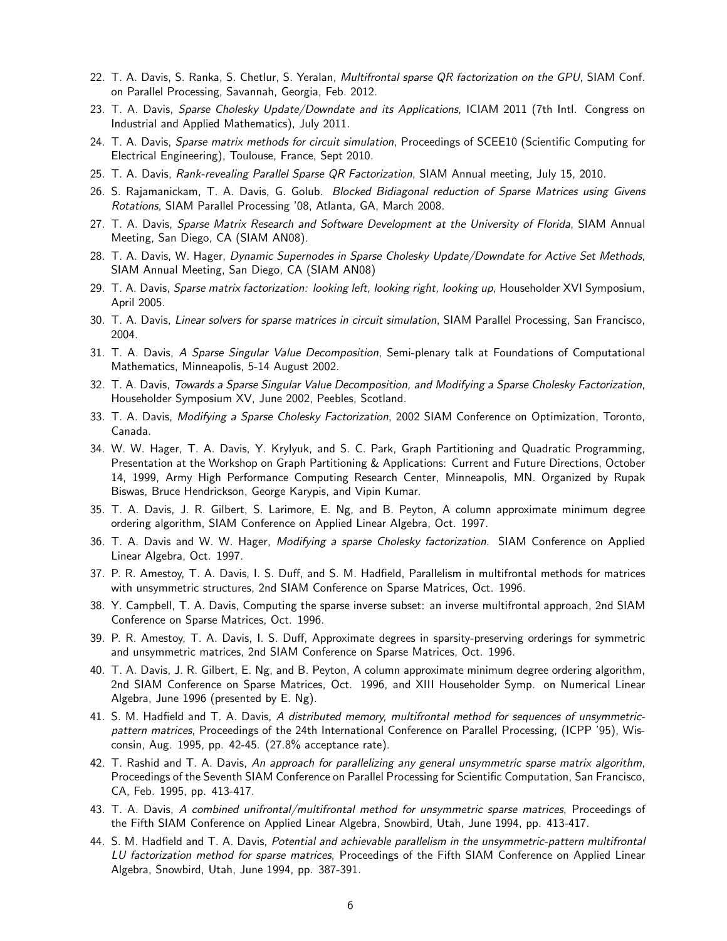- 22. T. A. Davis, S. Ranka, S. Chetlur, S. Yeralan, Multifrontal sparse QR factorization on the GPU, SIAM Conf. on Parallel Processing, Savannah, Georgia, Feb. 2012.
- 23. T. A. Davis, Sparse Cholesky Update/Downdate and its Applications, ICIAM 2011 (7th Intl. Congress on Industrial and Applied Mathematics), July 2011.
- 24. T. A. Davis, Sparse matrix methods for circuit simulation, Proceedings of SCEE10 (Scientific Computing for Electrical Engineering), Toulouse, France, Sept 2010.
- 25. T. A. Davis, Rank-revealing Parallel Sparse QR Factorization, SIAM Annual meeting, July 15, 2010.
- 26. S. Rajamanickam, T. A. Davis, G. Golub. Blocked Bidiagonal reduction of Sparse Matrices using Givens Rotations, SIAM Parallel Processing '08, Atlanta, GA, March 2008.
- 27. T. A. Davis, Sparse Matrix Research and Software Development at the University of Florida, SIAM Annual Meeting, San Diego, CA (SIAM AN08).
- 28. T. A. Davis, W. Hager, Dynamic Supernodes in Sparse Cholesky Update/Downdate for Active Set Methods, SIAM Annual Meeting, San Diego, CA (SIAM AN08)
- 29. T. A. Davis, Sparse matrix factorization: looking left, looking right, looking up, Householder XVI Symposium, April 2005.
- 30. T. A. Davis, Linear solvers for sparse matrices in circuit simulation, SIAM Parallel Processing, San Francisco, 2004.
- 31. T. A. Davis, A Sparse Singular Value Decomposition, Semi-plenary talk at Foundations of Computational Mathematics, Minneapolis, 5-14 August 2002.
- 32. T. A. Davis, Towards a Sparse Singular Value Decomposition, and Modifying a Sparse Cholesky Factorization, Householder Symposium XV, June 2002, Peebles, Scotland.
- 33. T. A. Davis, Modifying a Sparse Cholesky Factorization, 2002 SIAM Conference on Optimization, Toronto, Canada.
- 34. W. W. Hager, T. A. Davis, Y. Krylyuk, and S. C. Park, Graph Partitioning and Quadratic Programming, Presentation at the Workshop on Graph Partitioning & Applications: Current and Future Directions, October 14, 1999, Army High Performance Computing Research Center, Minneapolis, MN. Organized by Rupak Biswas, Bruce Hendrickson, George Karypis, and Vipin Kumar.
- 35. T. A. Davis, J. R. Gilbert, S. Larimore, E. Ng, and B. Peyton, A column approximate minimum degree ordering algorithm, SIAM Conference on Applied Linear Algebra, Oct. 1997.
- 36. T. A. Davis and W. W. Hager, Modifying a sparse Cholesky factorization. SIAM Conference on Applied Linear Algebra, Oct. 1997.
- 37. P. R. Amestoy, T. A. Davis, I. S. Duff, and S. M. Hadfield, Parallelism in multifrontal methods for matrices with unsymmetric structures, 2nd SIAM Conference on Sparse Matrices, Oct. 1996.
- 38. Y. Campbell, T. A. Davis, Computing the sparse inverse subset: an inverse multifrontal approach, 2nd SIAM Conference on Sparse Matrices, Oct. 1996.
- 39. P. R. Amestoy, T. A. Davis, I. S. Duff, Approximate degrees in sparsity-preserving orderings for symmetric and unsymmetric matrices, 2nd SIAM Conference on Sparse Matrices, Oct. 1996.
- 40. T. A. Davis, J. R. Gilbert, E. Ng, and B. Peyton, A column approximate minimum degree ordering algorithm, 2nd SIAM Conference on Sparse Matrices, Oct. 1996, and XIII Householder Symp. on Numerical Linear Algebra, June 1996 (presented by E. Ng).
- 41. S. M. Hadfield and T. A. Davis, A distributed memory, multifrontal method for sequences of unsymmetricpattern matrices, Proceedings of the 24th International Conference on Parallel Processing, (ICPP '95), Wisconsin, Aug. 1995, pp. 42-45. (27.8% acceptance rate).
- 42. T. Rashid and T. A. Davis, An approach for parallelizing any general unsymmetric sparse matrix algorithm, Proceedings of the Seventh SIAM Conference on Parallel Processing for Scientific Computation, San Francisco, CA, Feb. 1995, pp. 413-417.
- 43. T. A. Davis, A combined unifrontal/multifrontal method for unsymmetric sparse matrices, Proceedings of the Fifth SIAM Conference on Applied Linear Algebra, Snowbird, Utah, June 1994, pp. 413-417.
- 44. S. M. Hadfield and T. A. Davis, Potential and achievable parallelism in the unsymmetric-pattern multifrontal LU factorization method for sparse matrices, Proceedings of the Fifth SIAM Conference on Applied Linear Algebra, Snowbird, Utah, June 1994, pp. 387-391.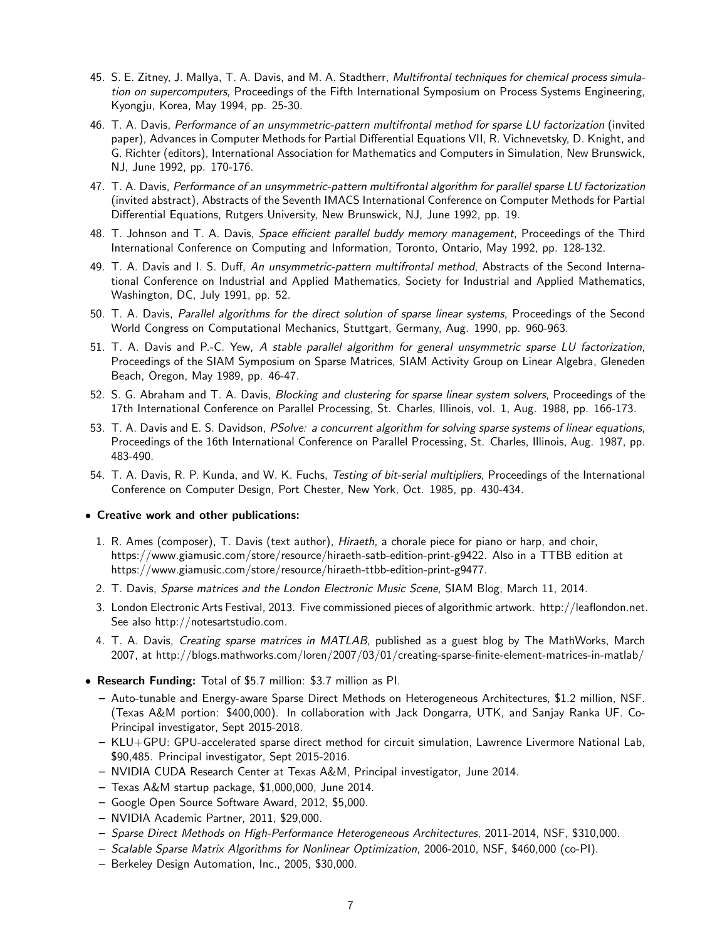- 45. S. E. Zitney, J. Mallya, T. A. Davis, and M. A. Stadtherr, Multifrontal techniques for chemical process simulation on supercomputers, Proceedings of the Fifth International Symposium on Process Systems Engineering, Kyongju, Korea, May 1994, pp. 25-30.
- 46. T. A. Davis, Performance of an unsymmetric-pattern multifrontal method for sparse LU factorization (invited paper), Advances in Computer Methods for Partial Differential Equations VII, R. Vichnevetsky, D. Knight, and G. Richter (editors), International Association for Mathematics and Computers in Simulation, New Brunswick, NJ, June 1992, pp. 170-176.
- 47. T. A. Davis, Performance of an unsymmetric-pattern multifrontal algorithm for parallel sparse LU factorization (invited abstract), Abstracts of the Seventh IMACS International Conference on Computer Methods for Partial Differential Equations, Rutgers University, New Brunswick, NJ, June 1992, pp. 19.
- 48. T. Johnson and T. A. Davis, Space efficient parallel buddy memory management, Proceedings of the Third International Conference on Computing and Information, Toronto, Ontario, May 1992, pp. 128-132.
- 49. T. A. Davis and I. S. Duff, An unsymmetric-pattern multifrontal method, Abstracts of the Second International Conference on Industrial and Applied Mathematics, Society for Industrial and Applied Mathematics, Washington, DC, July 1991, pp. 52.
- 50. T. A. Davis, Parallel algorithms for the direct solution of sparse linear systems, Proceedings of the Second World Congress on Computational Mechanics, Stuttgart, Germany, Aug. 1990, pp. 960-963.
- 51. T. A. Davis and P.-C. Yew, A stable parallel algorithm for general unsymmetric sparse LU factorization, Proceedings of the SIAM Symposium on Sparse Matrices, SIAM Activity Group on Linear Algebra, Gleneden Beach, Oregon, May 1989, pp. 46-47.
- 52. S. G. Abraham and T. A. Davis, Blocking and clustering for sparse linear system solvers, Proceedings of the 17th International Conference on Parallel Processing, St. Charles, Illinois, vol. 1, Aug. 1988, pp. 166-173.
- 53. T. A. Davis and E. S. Davidson, PSolve: a concurrent algorithm for solving sparse systems of linear equations, Proceedings of the 16th International Conference on Parallel Processing, St. Charles, Illinois, Aug. 1987, pp. 483-490.
- 54. T. A. Davis, R. P. Kunda, and W. K. Fuchs, Testing of bit-serial multipliers, Proceedings of the International Conference on Computer Design, Port Chester, New York, Oct. 1985, pp. 430-434.

### • Creative work and other publications:

- 1. R. Ames (composer), T. Davis (text author), Hiraeth, a chorale piece for piano or harp, and choir, https://www.giamusic.com/store/resource/hiraeth-satb-edition-print-g9422. Also in a TTBB edition at https://www.giamusic.com/store/resource/hiraeth-ttbb-edition-print-g9477.
- 2. T. Davis, Sparse matrices and the London Electronic Music Scene, SIAM Blog, March 11, 2014.
- 3. London Electronic Arts Festival, 2013. Five commissioned pieces of algorithmic artwork. http://leaflondon.net. See also http://notesartstudio.com.
- 4. T. A. Davis, Creating sparse matrices in MATLAB, published as a guest blog by The MathWorks, March 2007, at http://blogs.mathworks.com/loren/2007/03/01/creating-sparse-finite-element-matrices-in-matlab/
- Research Funding: Total of \$5.7 million: \$3.7 million as PI.
	- Auto-tunable and Energy-aware Sparse Direct Methods on Heterogeneous Architectures, \$1.2 million, NSF. (Texas A&M portion: \$400,000). In collaboration with Jack Dongarra, UTK, and Sanjay Ranka UF. Co-Principal investigator, Sept 2015-2018.
	- KLU+GPU: GPU-accelerated sparse direct method for circuit simulation, Lawrence Livermore National Lab, \$90,485. Principal investigator, Sept 2015-2016.
	- NVIDIA CUDA Research Center at Texas A&M, Principal investigator, June 2014.
	- Texas A&M startup package, \$1,000,000, June 2014.
	- Google Open Source Software Award, 2012, \$5,000.
	- NVIDIA Academic Partner, 2011, \$29,000.
	- Sparse Direct Methods on High-Performance Heterogeneous Architectures, 2011-2014, NSF, \$310,000.
	- Scalable Sparse Matrix Algorithms for Nonlinear Optimization, 2006-2010, NSF, \$460,000 (co-PI).
	- Berkeley Design Automation, Inc., 2005, \$30,000.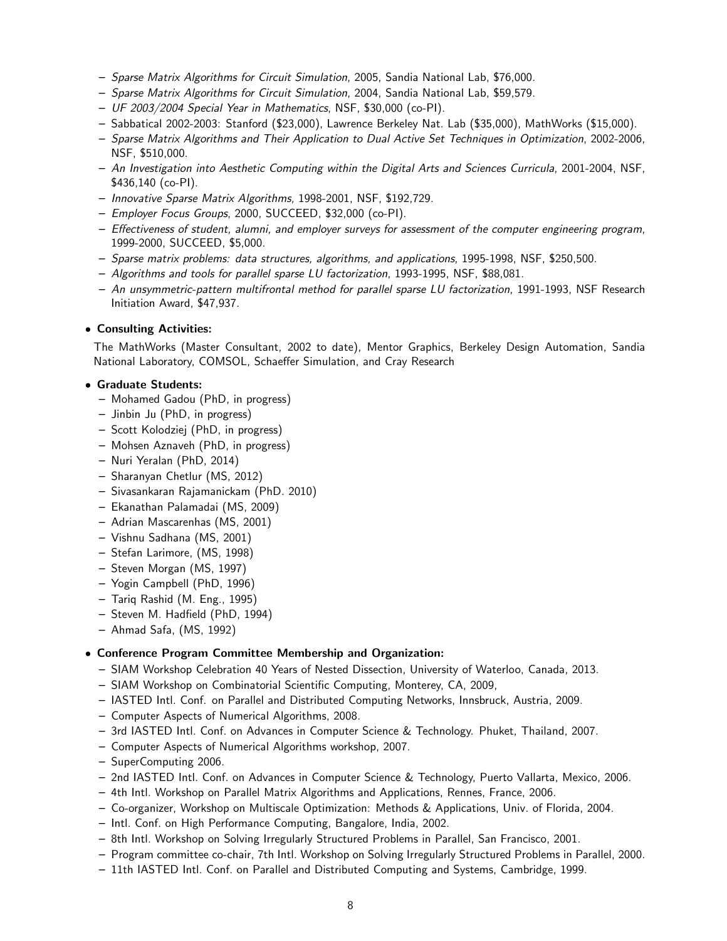- Sparse Matrix Algorithms for Circuit Simulation, 2005, Sandia National Lab, \$76,000.
- Sparse Matrix Algorithms for Circuit Simulation, 2004, Sandia National Lab, \$59,579.
- UF 2003/2004 Special Year in Mathematics, NSF, \$30,000 (co-PI).
- Sabbatical 2002-2003: Stanford (\$23,000), Lawrence Berkeley Nat. Lab (\$35,000), MathWorks (\$15,000).
- Sparse Matrix Algorithms and Their Application to Dual Active Set Techniques in Optimization, 2002-2006, NSF, \$510,000.
- An Investigation into Aesthetic Computing within the Digital Arts and Sciences Curricula, 2001-2004, NSF, \$436,140 (co-PI).
- Innovative Sparse Matrix Algorithms, 1998-2001, NSF, \$192,729.
- Employer Focus Groups, 2000, SUCCEED, \$32,000 (co-PI).
- Effectiveness of student, alumni, and employer surveys for assessment of the computer engineering program, 1999-2000, SUCCEED, \$5,000.
- Sparse matrix problems: data structures, algorithms, and applications, 1995-1998, NSF, \$250,500.
- Algorithms and tools for parallel sparse LU factorization, 1993-1995, NSF, \$88,081.
- An unsymmetric-pattern multifrontal method for parallel sparse LU factorization, 1991-1993, NSF Research Initiation Award, \$47,937.

# • Consulting Activities:

The MathWorks (Master Consultant, 2002 to date), Mentor Graphics, Berkeley Design Automation, Sandia National Laboratory, COMSOL, Schaeffer Simulation, and Cray Research

# • Graduate Students:

- Mohamed Gadou (PhD, in progress)
- Jinbin Ju (PhD, in progress)
- Scott Kolodziej (PhD, in progress)
- Mohsen Aznaveh (PhD, in progress)
- Nuri Yeralan (PhD, 2014)
- Sharanyan Chetlur (MS, 2012)
- Sivasankaran Rajamanickam (PhD. 2010)
- Ekanathan Palamadai (MS, 2009)
- Adrian Mascarenhas (MS, 2001)
- Vishnu Sadhana (MS, 2001)
- Stefan Larimore, (MS, 1998)
- Steven Morgan (MS, 1997)
- Yogin Campbell (PhD, 1996)
- Tariq Rashid (M. Eng., 1995)
- Steven M. Hadfield (PhD, 1994)
- Ahmad Safa, (MS, 1992)

# • Conference Program Committee Membership and Organization:

- SIAM Workshop Celebration 40 Years of Nested Dissection, University of Waterloo, Canada, 2013.
- SIAM Workshop on Combinatorial Scientific Computing, Monterey, CA, 2009,
- IASTED Intl. Conf. on Parallel and Distributed Computing Networks, Innsbruck, Austria, 2009.
- Computer Aspects of Numerical Algorithms, 2008.
- 3rd IASTED Intl. Conf. on Advances in Computer Science & Technology. Phuket, Thailand, 2007.
- Computer Aspects of Numerical Algorithms workshop, 2007.
- SuperComputing 2006.
- 2nd IASTED Intl. Conf. on Advances in Computer Science & Technology, Puerto Vallarta, Mexico, 2006.
- 4th Intl. Workshop on Parallel Matrix Algorithms and Applications, Rennes, France, 2006.
- Co-organizer, Workshop on Multiscale Optimization: Methods & Applications, Univ. of Florida, 2004.
- Intl. Conf. on High Performance Computing, Bangalore, India, 2002.
- 8th Intl. Workshop on Solving Irregularly Structured Problems in Parallel, San Francisco, 2001.
- Program committee co-chair, 7th Intl. Workshop on Solving Irregularly Structured Problems in Parallel, 2000.
- 11th IASTED Intl. Conf. on Parallel and Distributed Computing and Systems, Cambridge, 1999.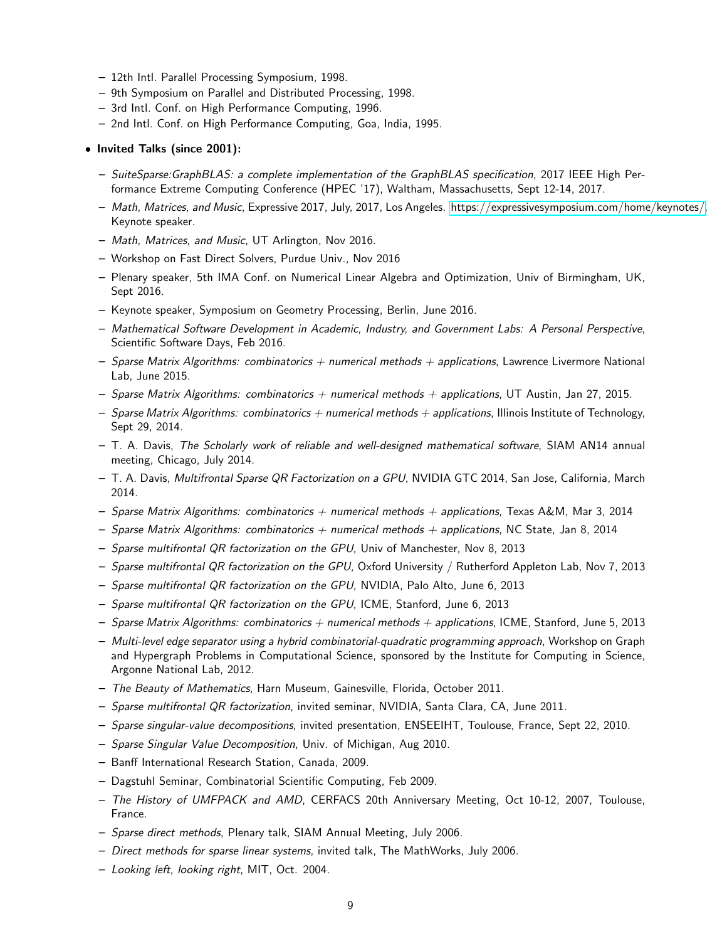- 12th Intl. Parallel Processing Symposium, 1998.
- 9th Symposium on Parallel and Distributed Processing, 1998.
- 3rd Intl. Conf. on High Performance Computing, 1996.
- 2nd Intl. Conf. on High Performance Computing, Goa, India, 1995.

#### • Invited Talks (since 2001):

- SuiteSparse:GraphBLAS: a complete implementation of the GraphBLAS specification, 2017 IEEE High Performance Extreme Computing Conference (HPEC '17), Waltham, Massachusetts, Sept 12-14, 2017.
- Math, Matrices, and Music, Expressive 2017, July, 2017, Los Angeles. [https://expressivesymposium.com/home/keynotes/,](https://expressivesymposium.com/home/keynotes/) Keynote speaker.
- Math, Matrices, and Music, UT Arlington, Nov 2016.
- Workshop on Fast Direct Solvers, Purdue Univ., Nov 2016
- Plenary speaker, 5th IMA Conf. on Numerical Linear Algebra and Optimization, Univ of Birmingham, UK, Sept 2016.
- Keynote speaker, Symposium on Geometry Processing, Berlin, June 2016.
- Mathematical Software Development in Academic, Industry, and Government Labs: A Personal Perspective, Scientific Software Days, Feb 2016.
- Sparse Matrix Algorithms: combinatorics  $+$  numerical methods  $+$  applications, Lawrence Livermore National Lab, June 2015.
- Sparse Matrix Algorithms: combinatorics  $+$  numerical methods  $+$  applications, UT Austin, Jan 27, 2015.
- Sparse Matrix Algorithms: combinatorics  $+$  numerical methods  $+$  applications, Illinois Institute of Technology, Sept 29, 2014.
- T. A. Davis, The Scholarly work of reliable and well-designed mathematical software, SIAM AN14 annual meeting, Chicago, July 2014.
- T. A. Davis, Multifrontal Sparse QR Factorization on a GPU, NVIDIA GTC 2014, San Jose, California, March 2014.
- Sparse Matrix Algorithms: combinatorics  $+$  numerical methods  $+$  applications, Texas A&M, Mar 3, 2014
- Sparse Matrix Algorithms: combinatorics  $+$  numerical methods  $+$  applications, NC State, Jan 8, 2014
- Sparse multifrontal QR factorization on the GPU, Univ of Manchester, Nov 8, 2013
- Sparse multifrontal QR factorization on the GPU, Oxford University / Rutherford Appleton Lab, Nov 7, 2013
- Sparse multifrontal QR factorization on the GPU, NVIDIA, Palo Alto, June 6, 2013
- Sparse multifrontal QR factorization on the GPU, ICME, Stanford, June 6, 2013
- Sparse Matrix Algorithms: combinatorics  $+$  numerical methods  $+$  applications, ICME, Stanford, June 5, 2013
- Multi-level edge separator using a hybrid combinatorial-quadratic programming approach, Workshop on Graph and Hypergraph Problems in Computational Science, sponsored by the Institute for Computing in Science, Argonne National Lab, 2012.
- The Beauty of Mathematics, Harn Museum, Gainesville, Florida, October 2011.
- Sparse multifrontal QR factorization, invited seminar, NVIDIA, Santa Clara, CA, June 2011.
- Sparse singular-value decompositions, invited presentation, ENSEEIHT, Toulouse, France, Sept 22, 2010.
- Sparse Singular Value Decomposition, Univ. of Michigan, Aug 2010.
- Banff International Research Station, Canada, 2009.
- Dagstuhl Seminar, Combinatorial Scientific Computing, Feb 2009.
- The History of UMFPACK and AMD, CERFACS 20th Anniversary Meeting, Oct 10-12, 2007, Toulouse, France.
- Sparse direct methods, Plenary talk, SIAM Annual Meeting, July 2006.
- Direct methods for sparse linear systems, invited talk, The MathWorks, July 2006.
- Looking left, looking right, MIT, Oct. 2004.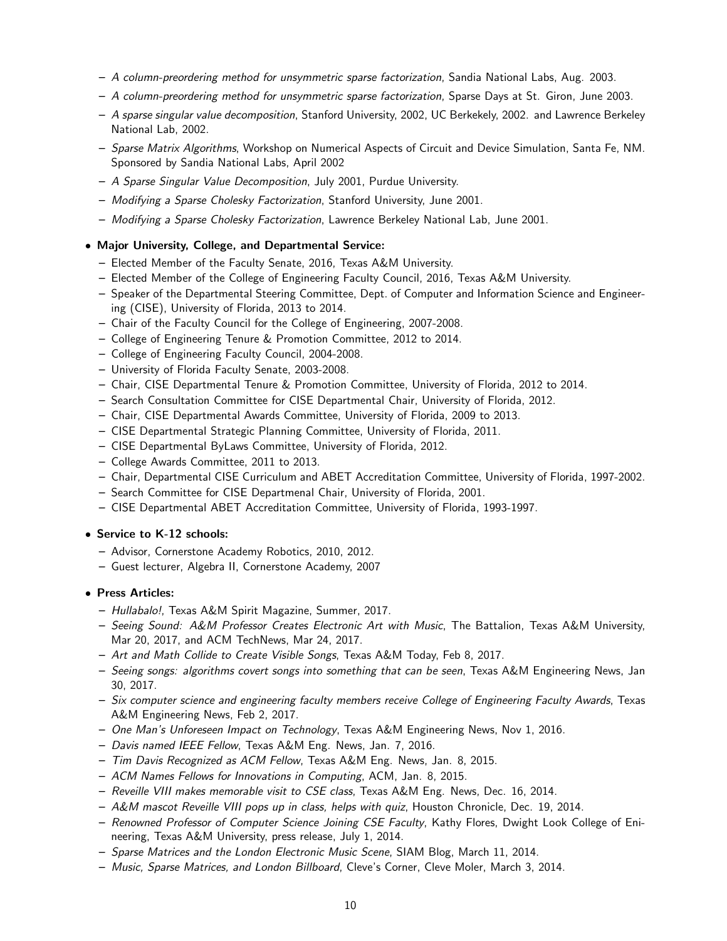- A column-preordering method for unsymmetric sparse factorization, Sandia National Labs, Aug. 2003.
- A column-preordering method for unsymmetric sparse factorization, Sparse Days at St. Giron, June 2003.
- A sparse singular value decomposition, Stanford University, 2002, UC Berkekely, 2002. and Lawrence Berkeley National Lab, 2002.
- Sparse Matrix Algorithms, Workshop on Numerical Aspects of Circuit and Device Simulation, Santa Fe, NM. Sponsored by Sandia National Labs, April 2002
- A Sparse Singular Value Decomposition, July 2001, Purdue University.
- Modifying a Sparse Cholesky Factorization, Stanford University, June 2001.
- Modifying a Sparse Cholesky Factorization, Lawrence Berkeley National Lab, June 2001.

# • Major University, College, and Departmental Service:

- Elected Member of the Faculty Senate, 2016, Texas A&M University.
- Elected Member of the College of Engineering Faculty Council, 2016, Texas A&M University.
- Speaker of the Departmental Steering Committee, Dept. of Computer and Information Science and Engineering (CISE), University of Florida, 2013 to 2014.
- Chair of the Faculty Council for the College of Engineering, 2007-2008.
- College of Engineering Tenure & Promotion Committee, 2012 to 2014.
- College of Engineering Faculty Council, 2004-2008.
- University of Florida Faculty Senate, 2003-2008.
- Chair, CISE Departmental Tenure & Promotion Committee, University of Florida, 2012 to 2014.
- Search Consultation Committee for CISE Departmental Chair, University of Florida, 2012.
- Chair, CISE Departmental Awards Committee, University of Florida, 2009 to 2013.
- CISE Departmental Strategic Planning Committee, University of Florida, 2011.
- CISE Departmental ByLaws Committee, University of Florida, 2012.
- College Awards Committee, 2011 to 2013.
- Chair, Departmental CISE Curriculum and ABET Accreditation Committee, University of Florida, 1997-2002.
- Search Committee for CISE Departmenal Chair, University of Florida, 2001.
- CISE Departmental ABET Accreditation Committee, University of Florida, 1993-1997.

### • Service to K-12 schools:

- Advisor, Cornerstone Academy Robotics, 2010, 2012.
- Guest lecturer, Algebra II, Cornerstone Academy, 2007

### • Press Articles:

- Hullabalo!, Texas A&M Spirit Magazine, Summer, 2017.
- Seeing Sound: A&M Professor Creates Electronic Art with Music, The Battalion, Texas A&M University, Mar 20, 2017, and ACM TechNews, Mar 24, 2017.
- Art and Math Collide to Create Visible Songs, Texas A&M Today, Feb 8, 2017.
- Seeing songs: algorithms covert songs into something that can be seen, Texas A&M Engineering News, Jan 30, 2017.
- Six computer science and engineering faculty members receive College of Engineering Faculty Awards, Texas A&M Engineering News, Feb 2, 2017.
- One Man's Unforeseen Impact on Technology, Texas A&M Engineering News, Nov 1, 2016.
- Davis named IEEE Fellow, Texas A&M Eng. News, Jan. 7, 2016.
- Tim Davis Recognized as ACM Fellow, Texas A&M Eng. News, Jan. 8, 2015.
- ACM Names Fellows for Innovations in Computing, ACM, Jan. 8, 2015.
- Reveille VIII makes memorable visit to CSE class, Texas A&M Eng. News, Dec. 16, 2014.
- A&M mascot Reveille VIII pops up in class, helps with quiz, Houston Chronicle, Dec. 19, 2014.
- Renowned Professor of Computer Science Joining CSE Faculty, Kathy Flores, Dwight Look College of Enineering, Texas A&M University, press release, July 1, 2014.
- Sparse Matrices and the London Electronic Music Scene, SIAM Blog, March 11, 2014.
- Music, Sparse Matrices, and London Billboard, Cleve's Corner, Cleve Moler, March 3, 2014.